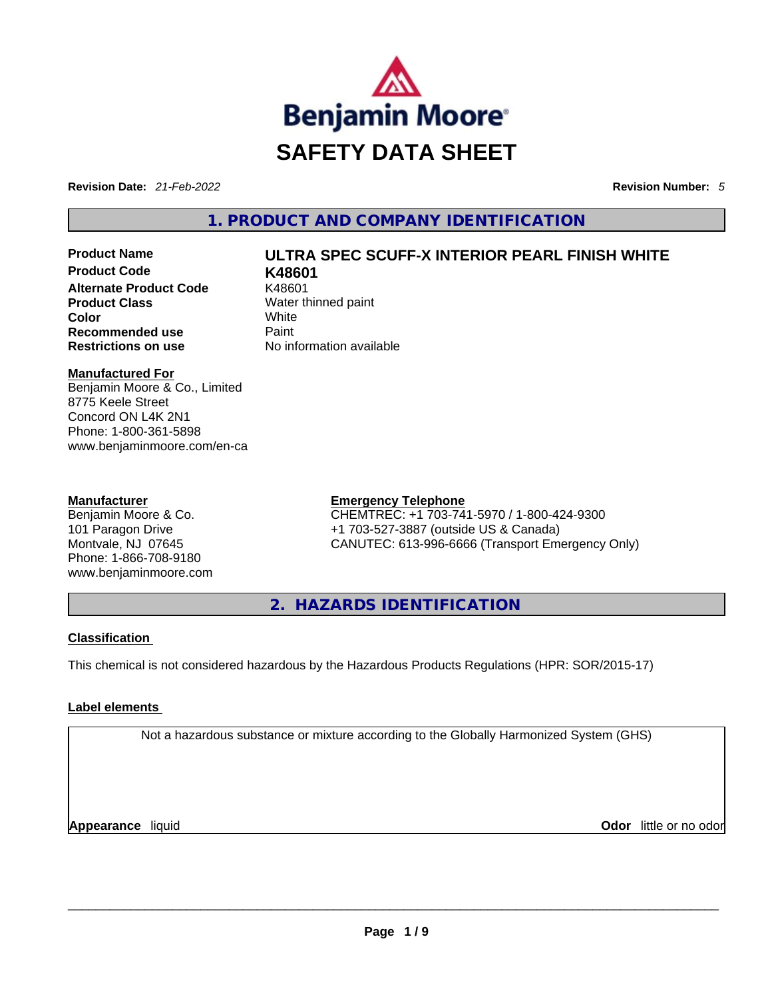

**Revision Date:** *21-Feb-2022* **Revision Number:** *5*

**1. PRODUCT AND COMPANY IDENTIFICATION** 

## **Product Name ULTRA SPEC SCUFF-X INTERIOR PEARL FINISH WHITE**

**Product Code K48601 Alternate Product Code** K48601 **Product Class Water thinned paint Color** White **Recommended use Paint Restrictions on use** No information available

**Manufactured For**

Benjamin Moore & Co., Limited 8775 Keele Street Concord ON L4K 2N1 Phone: 1-800-361-5898 www.benjaminmoore.com/en-ca

#### **Manufacturer**

Benjamin Moore & Co. 101 Paragon Drive Montvale, NJ 07645 Phone: 1-866-708-9180 www.benjaminmoore.com

#### **Emergency Telephone**

CHEMTREC: +1 703-741-5970 / 1-800-424-9300 +1 703-527-3887 (outside US & Canada) CANUTEC: 613-996-6666 (Transport Emergency Only)

**2. HAZARDS IDENTIFICATION** 

#### **Classification**

This chemical is not considered hazardous by the Hazardous Products Regulations (HPR: SOR/2015-17)

#### **Label elements**

Not a hazardous substance or mixture according to the Globally Harmonized System (GHS)

**Appearance** liquid **Odor** little or no odor \_\_\_\_\_\_\_\_\_\_\_\_\_\_\_\_\_\_\_\_\_\_\_\_\_\_\_\_\_\_\_\_\_\_\_\_\_\_\_\_\_\_\_\_\_\_\_\_\_\_\_\_\_\_\_\_\_\_\_\_\_\_\_\_\_\_\_\_\_\_\_\_\_\_\_\_\_\_\_\_\_\_\_\_\_\_\_\_\_\_\_\_\_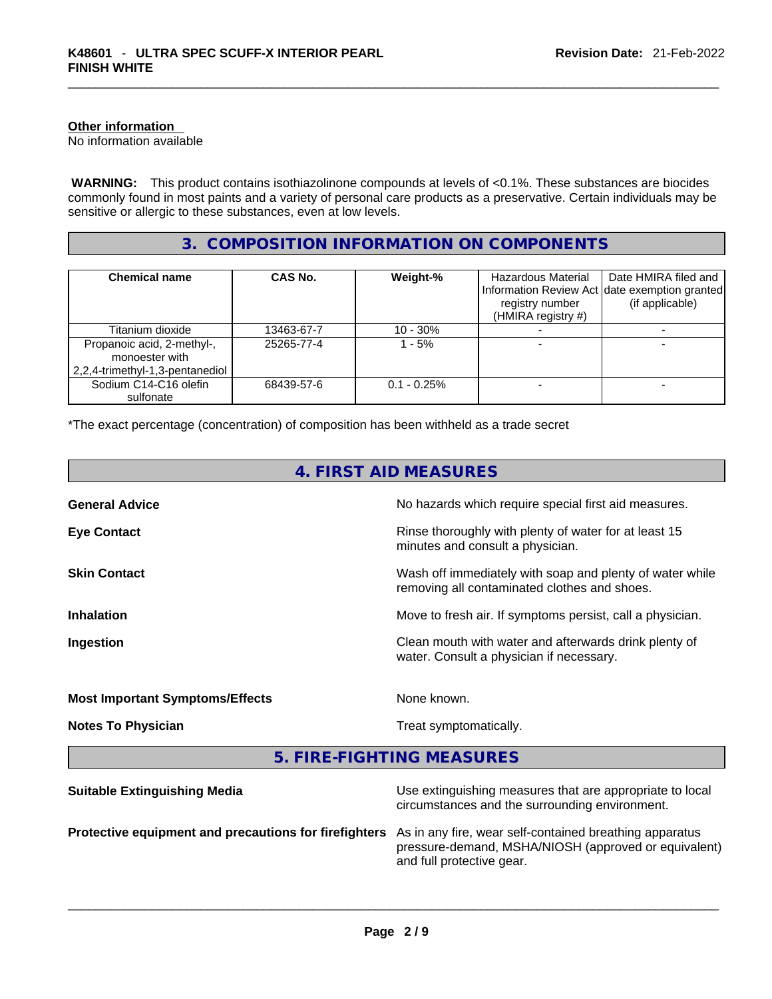#### **Other information**

No information available

 **WARNING:** This product contains isothiazolinone compounds at levels of <0.1%. These substances are biocides commonly found in most paints and a variety of personal care products as a preservative. Certain individuals may be sensitive or allergic to these substances, even at low levels.

### **3. COMPOSITION INFORMATION ON COMPONENTS**

| <b>Chemical name</b>                                                            | CAS No.    | Weight-%       | Hazardous Material<br>registry number<br>(HMIRA registry #) | Date HMIRA filed and<br>Information Review Act Idate exemption granted<br>(if applicable) |
|---------------------------------------------------------------------------------|------------|----------------|-------------------------------------------------------------|-------------------------------------------------------------------------------------------|
| Titanium dioxide                                                                | 13463-67-7 | $10 - 30%$     |                                                             |                                                                                           |
| Propanoic acid, 2-methyl-,<br>monoester with<br>2,2,4-trimethyl-1,3-pentanediol | 25265-77-4 | 1 - 5%         |                                                             |                                                                                           |
| Sodium C14-C16 olefin<br>sulfonate                                              | 68439-57-6 | $0.1 - 0.25\%$ |                                                             |                                                                                           |

\*The exact percentage (concentration) of composition has been withheld as a trade secret

| 4. FIRST AID MEASURES                  |                                                                                                            |  |
|----------------------------------------|------------------------------------------------------------------------------------------------------------|--|
| <b>General Advice</b>                  | No hazards which require special first aid measures.                                                       |  |
| <b>Eye Contact</b>                     | Rinse thoroughly with plenty of water for at least 15<br>minutes and consult a physician.                  |  |
| <b>Skin Contact</b>                    | Wash off immediately with soap and plenty of water while<br>removing all contaminated clothes and shoes.   |  |
| <b>Inhalation</b>                      | Move to fresh air. If symptoms persist, call a physician.                                                  |  |
| Ingestion                              | Clean mouth with water and afterwards drink plenty of<br>water. Consult a physician if necessary.          |  |
| <b>Most Important Symptoms/Effects</b> | None known.                                                                                                |  |
| <b>Notes To Physician</b>              | Treat symptomatically.                                                                                     |  |
| 5. FIRE-FIGHTING MEASURES              |                                                                                                            |  |
| <b>Suitable Extinguishing Media</b>    | Use extinguishing measures that are appropriate to local<br>circumstances and the surrounding environment. |  |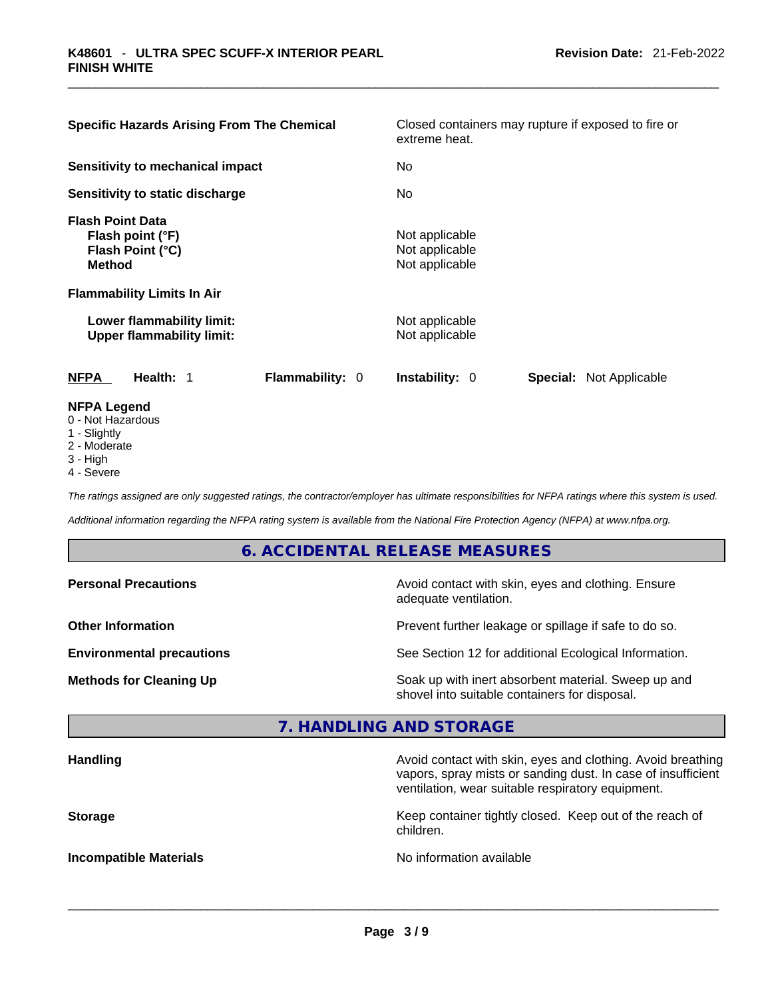| <b>Specific Hazards Arising From The Chemical</b>                                | Closed containers may rupture if exposed to fire or<br>extreme heat. |
|----------------------------------------------------------------------------------|----------------------------------------------------------------------|
| Sensitivity to mechanical impact                                                 | No.                                                                  |
| Sensitivity to static discharge                                                  | No                                                                   |
| <b>Flash Point Data</b><br>Flash point (°F)<br>Flash Point (°C)<br><b>Method</b> | Not applicable<br>Not applicable<br>Not applicable                   |
| <b>Flammability Limits In Air</b>                                                |                                                                      |
| Lower flammability limit:<br><b>Upper flammability limit:</b>                    | Not applicable<br>Not applicable                                     |
| <b>NFPA</b><br><b>Flammability: 0</b><br>Health: 1                               | Instability: 0<br><b>Special: Not Applicable</b>                     |
| <b>NFPA Legend</b><br>0 - Not Hazardous<br>1 - Slightly                          |                                                                      |

- 
- 2 Moderate
- 3 High
- 4 Severe

*The ratings assigned are only suggested ratings, the contractor/employer has ultimate responsibilities for NFPA ratings where this system is used.* 

*Additional information regarding the NFPA rating system is available from the National Fire Protection Agency (NFPA) at www.nfpa.org.* 

#### **6. ACCIDENTAL RELEASE MEASURES**

| <b>Personal Precautions</b>      | Avoid contact with skin, eyes and clothing. Ensure<br>adequate ventilation.                          |
|----------------------------------|------------------------------------------------------------------------------------------------------|
| <b>Other Information</b>         | Prevent further leakage or spillage if safe to do so.                                                |
| <b>Environmental precautions</b> | See Section 12 for additional Ecological Information.                                                |
| <b>Methods for Cleaning Up</b>   | Soak up with inert absorbent material. Sweep up and<br>shovel into suitable containers for disposal. |

## **7. HANDLING AND STORAGE**

| <b>Handling</b>               | Avoid contact with skin, eyes and clothing. Avoid breathing<br>vapors, spray mists or sanding dust. In case of insufficient<br>ventilation, wear suitable respiratory equipment. |
|-------------------------------|----------------------------------------------------------------------------------------------------------------------------------------------------------------------------------|
| <b>Storage</b>                | Keep container tightly closed. Keep out of the reach of<br>children.                                                                                                             |
| <b>Incompatible Materials</b> | No information available                                                                                                                                                         |

 $\_$  ,  $\_$  ,  $\_$  ,  $\_$  ,  $\_$  ,  $\_$  ,  $\_$  ,  $\_$  ,  $\_$  ,  $\_$  ,  $\_$  ,  $\_$  ,  $\_$  ,  $\_$  ,  $\_$  ,  $\_$  ,  $\_$  ,  $\_$  ,  $\_$  ,  $\_$  ,  $\_$  ,  $\_$  ,  $\_$  ,  $\_$  ,  $\_$  ,  $\_$  ,  $\_$  ,  $\_$  ,  $\_$  ,  $\_$  ,  $\_$  ,  $\_$  ,  $\_$  ,  $\_$  ,  $\_$  ,  $\_$  ,  $\_$  ,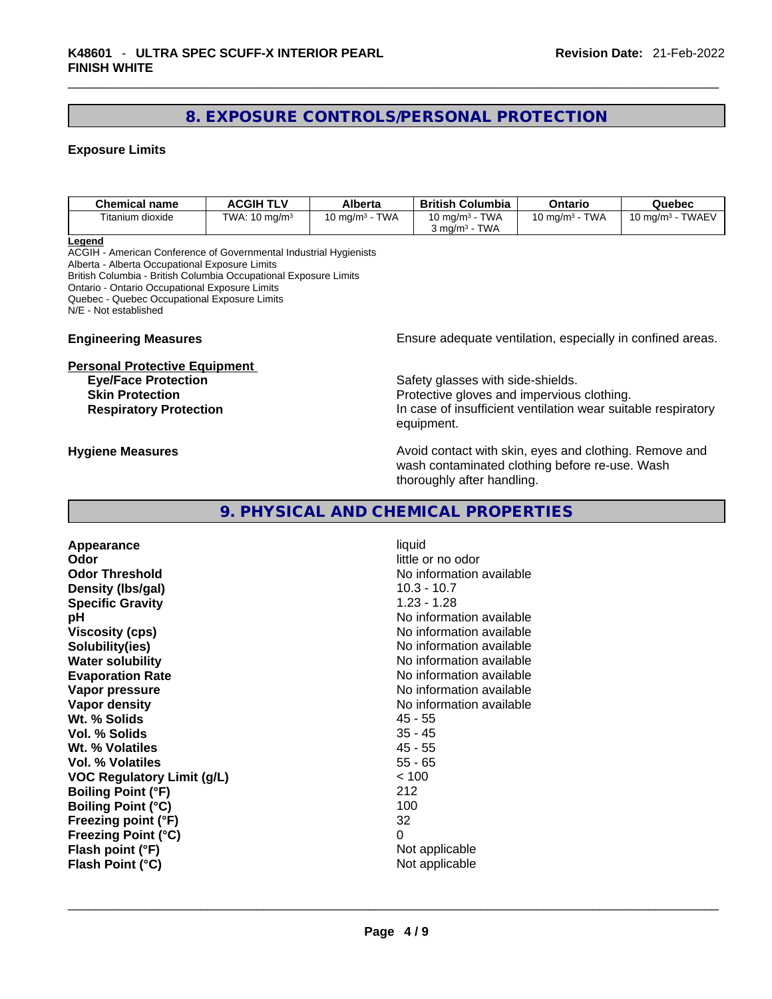## **8. EXPOSURE CONTROLS/PERSONAL PROTECTION**

#### **Exposure Limits**

| Chemical name    | ACGIH TLV                | Alberta                                    | <b>British Columbia</b>                                           | Ontario                             | Quebec                                   |
|------------------|--------------------------|--------------------------------------------|-------------------------------------------------------------------|-------------------------------------|------------------------------------------|
| Titanium dioxide | TWA: $10 \text{ ma/m}^3$ | <b>TWA</b><br>$^{\circ}$ 0 ma/m $^{\circ}$ | <b>TWA</b><br>$10 \text{ ma/m}^3$ -<br>TWA<br>ma/m <sup>3</sup> د | <b>TWA</b><br>$10 \text{ ma/m}^3$ - | <b>TWAEV</b><br>10 mg/m <sup>3</sup> - . |

**Legend**

ACGIH - American Conference of Governmental Industrial Hygienists Alberta - Alberta Occupational Exposure Limits British Columbia - British Columbia Occupational Exposure Limits Ontario - Ontario Occupational Exposure Limits Quebec - Quebec Occupational Exposure Limits N/E - Not established

# **Personal Protective Equipment**<br>**Eye/Face Protection**

**Engineering Measures Ensure** Ensure adequate ventilation, especially in confined areas.

Safety glasses with side-shields. **Skin Protection Protection Protective gloves and impervious clothing. Respiratory Protection In case of insufficient ventilation wear suitable respiratory** equipment.

**Hygiene Measures Avoid contact with skin, eyes and clothing. Remove and Avoid contact with skin, eyes and clothing. Remove and** wash contaminated clothing before re-use. Wash thoroughly after handling.

#### **9. PHYSICAL AND CHEMICAL PROPERTIES**

**Appearance** liquid **Odor Odor Odor little or no odor Odor Threshold**<br> **Density (Ibs/gal)**<br> **Density (Ibs/gal)**<br> **No information available**<br>
10.3 - 10.7 **Density** (Ibs/gal) **Specific Gravity** 1.23 - 1.28 **pH pH 1 Viscosity (cps) Viscosity (cps) No information available Solubility(ies)** No information available **Water solubility Water solubility No information available Evaporation Rate No information available No information available Vapor pressure No information available No information available Vapor density**<br> **We Solids**<br>
We Solids
2018 Wt. % Solids **Vol. % Solids** 35 - 45 **Wt. % Volatiles** 45 - 55 **Vol. % Volatiles VOC Regulatory Limit (g/L)** < 100 **Boiling Point (°F)** 212 **Boiling Point (°C)** 100 **Freezing point (°F)** 32 **Freezing Point (°C)** 0 **Flash point (°F)** Not applicable

**Flash Point (°C)**  $\qquad \qquad$  Not applicable  $\qquad \qquad$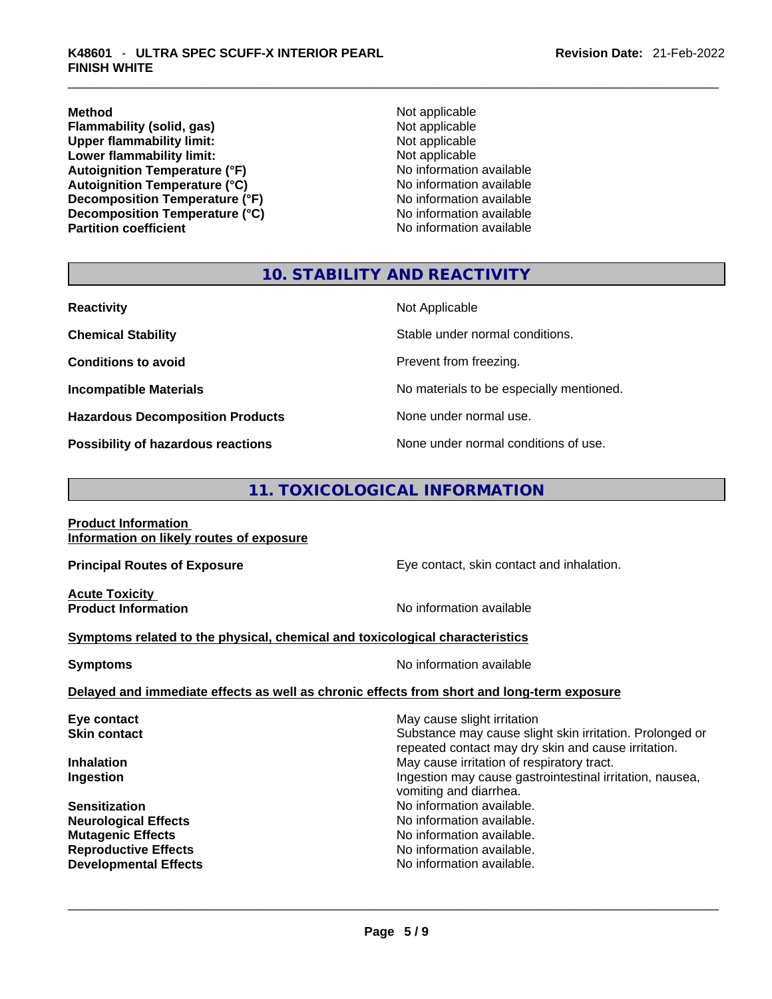**Method**<br> **Plammability (solid, gas)**<br> **Plammability (solid, gas)**<br> **Not applicable Flammability (solid, gas)**<br> **Commability limit:**<br>
Upper flammability limit:<br>
Not applicable **Upper flammability limit:**<br> **Lower flammability limit:**<br>
Not applicable<br>
Not applicable **Lower flammability limit:**<br> **Autoianition Temperature (°F)**<br>
Mo information available **Autoignition Temperature (°F)**<br> **Autoignition Temperature (°C)** No information available **Autoignition Temperature (°C) Decomposition Temperature (°F)** No information available **Decomposition Temperature (°C)** No information available

**No information available** 

#### **10. STABILITY AND REACTIVITY**

| <b>Reactivity</b>                         | Not Applicable                           |
|-------------------------------------------|------------------------------------------|
| <b>Chemical Stability</b>                 | Stable under normal conditions.          |
| <b>Conditions to avoid</b>                | Prevent from freezing.                   |
| <b>Incompatible Materials</b>             | No materials to be especially mentioned. |
| <b>Hazardous Decomposition Products</b>   | None under normal use.                   |
| <b>Possibility of hazardous reactions</b> | None under normal conditions of use.     |

## **11. TOXICOLOGICAL INFORMATION**

| <b>Product Information</b> |                                          |  |
|----------------------------|------------------------------------------|--|
|                            | Information on likely routes of exposure |  |

**Acute Toxicity** 

**Principal Routes of Exposure Exposure** Eye contact, skin contact and inhalation.

**Product Information Information No information available** 

#### **<u>Symptoms related to the physical, chemical and toxicological characteristics</u>**

| Symptoms | No information available |
|----------|--------------------------|
|          |                          |

#### **Delayed and immediate effects as well as chronic effects from short and long-term exposure**

| Eye contact                  | May cause slight irritation                                                                                     |
|------------------------------|-----------------------------------------------------------------------------------------------------------------|
| <b>Skin contact</b>          | Substance may cause slight skin irritation. Prolonged or<br>repeated contact may dry skin and cause irritation. |
| <b>Inhalation</b>            | May cause irritation of respiratory tract.                                                                      |
| Ingestion                    | Ingestion may cause gastrointestinal irritation, nausea,<br>vomiting and diarrhea.                              |
| <b>Sensitization</b>         | No information available.                                                                                       |
| <b>Neurological Effects</b>  | No information available.                                                                                       |
| <b>Mutagenic Effects</b>     | No information available.                                                                                       |
| <b>Reproductive Effects</b>  | No information available.                                                                                       |
| <b>Developmental Effects</b> | No information available.                                                                                       |
|                              |                                                                                                                 |
|                              |                                                                                                                 |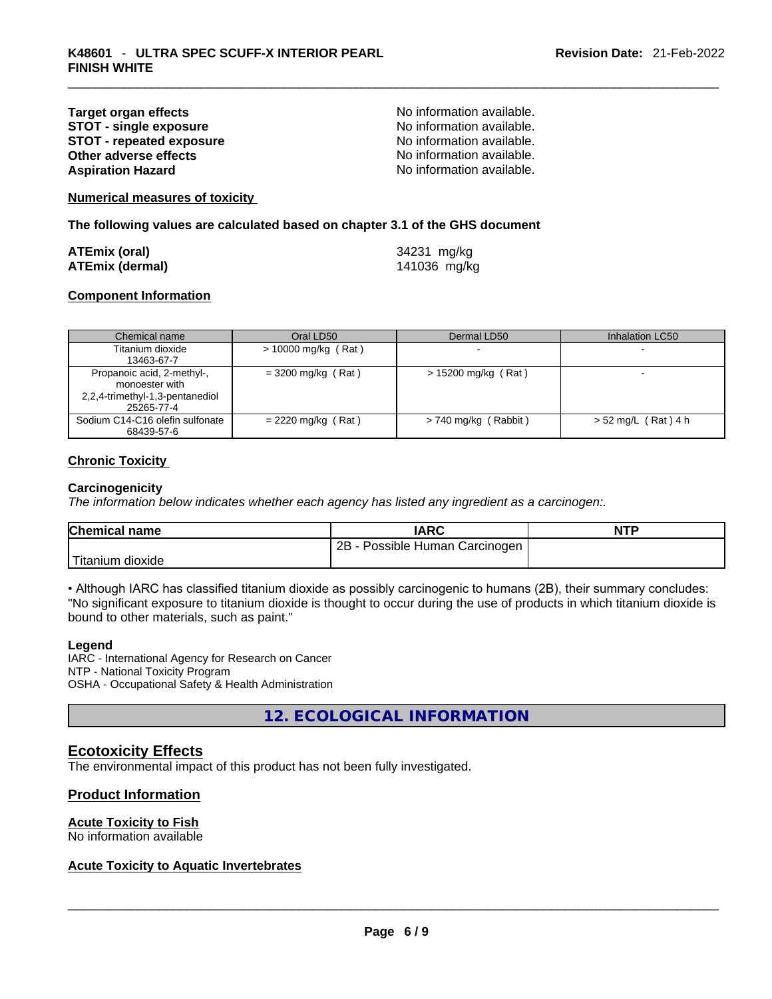#### **Target organ effects**<br> **STOT - single exposure**<br>
STOT - single exposure<br>
No information available. **STOT - single exposure**<br> **STOT - repeated exposure**<br> **STOT - repeated exposure**<br> **No information available. STOT** - repeated exposure **Other adverse effects No information available. Aspiration Hazard**  No information available.

**Numerical measures of toxicity**

**The following values are calculated based on chapter 3.1 of the GHS document**

| <b>ATEmix (oral)</b>   | 34231 mg/kg  |
|------------------------|--------------|
| <b>ATEmix (dermal)</b> | 141036 mg/kg |

#### **Component Information**

| Chemical name                   | Oral LD50             | Dermal LD50            | Inhalation LC50       |
|---------------------------------|-----------------------|------------------------|-----------------------|
| Titanium dioxide                | $> 10000$ mg/kg (Rat) |                        |                       |
| 13463-67-7                      |                       |                        |                       |
| Propanoic acid, 2-methyl-,      | $=$ 3200 mg/kg (Rat)  | $> 15200$ mg/kg (Rat)  |                       |
| monoester with                  |                       |                        |                       |
| 2,2,4-trimethyl-1,3-pentanediol |                       |                        |                       |
| 25265-77-4                      |                       |                        |                       |
| Sodium C14-C16 olefin sulfonate | $= 2220$ mg/kg (Rat)  | $> 740$ mg/kg (Rabbit) | $> 52$ mg/L (Rat) 4 h |
| 68439-57-6                      |                       |                        |                       |

#### **Chronic Toxicity**

#### **Carcinogenicity**

*The information below indicates whether each agency has listed any ingredient as a carcinogen:.* 

| <b>Chemical name</b> | <b>IARC</b>                     | <b>NTP</b> |
|----------------------|---------------------------------|------------|
|                      | 2B<br>Possible Human Carcinogen |            |
| Titanium dioxide     |                                 |            |

• Although IARC has classified titanium dioxide as possibly carcinogenic to humans (2B), their summary concludes: "No significant exposure to titanium dioxide is thought to occur during the use of products in which titanium dioxide is bound to other materials, such as paint."

#### **Legend**

IARC - International Agency for Research on Cancer NTP - National Toxicity Program OSHA - Occupational Safety & Health Administration

**12. ECOLOGICAL INFORMATION** 

#### **Ecotoxicity Effects**

The environmental impact of this product has not been fully investigated.

#### **Product Information**

#### **Acute Toxicity to Fish**

# No information available \_\_\_\_\_\_\_\_\_\_\_\_\_\_\_\_\_\_\_\_\_\_\_\_\_\_\_\_\_\_\_\_\_\_\_\_\_\_\_\_\_\_\_\_\_\_\_\_\_\_\_\_\_\_\_\_\_\_\_\_\_\_\_\_\_\_\_\_\_\_\_\_\_\_\_\_\_\_\_\_\_\_\_\_\_\_\_\_\_\_\_\_\_ **Acute Toxicity to Aquatic Invertebrates**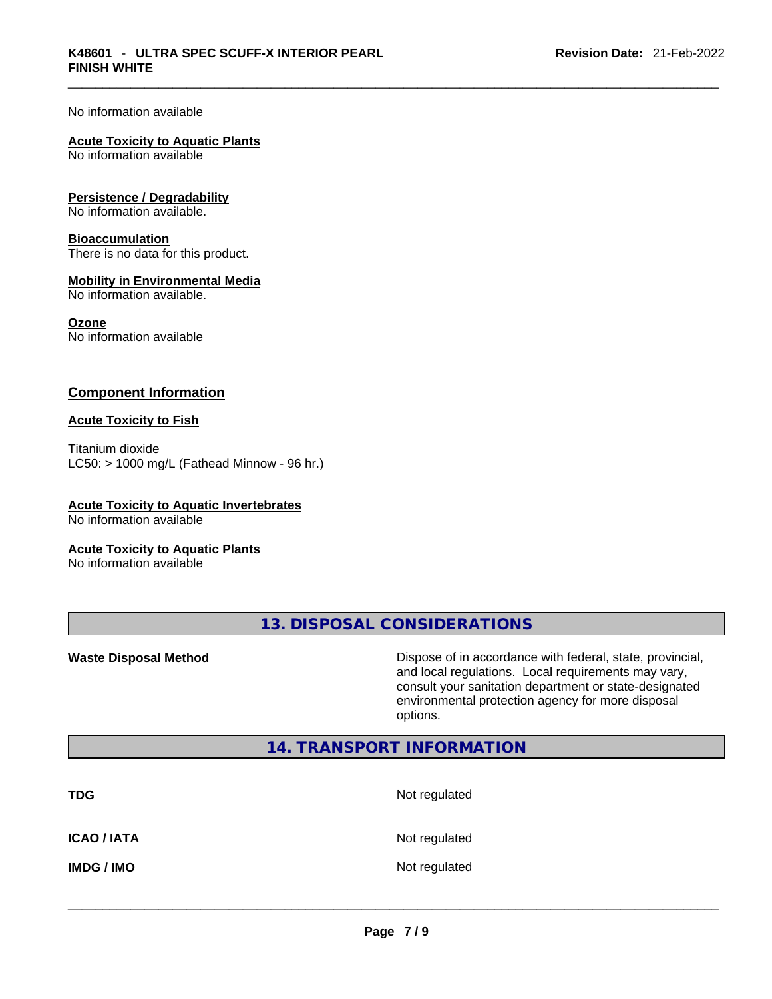No information available

#### **Acute Toxicity to Aquatic Plants**

No information available

#### **Persistence / Degradability**

No information available.

#### **Bioaccumulation**

There is no data for this product.

#### **Mobility in Environmental Media**

No information available.

#### **Ozone**

No information available

#### **Component Information**

#### **Acute Toxicity to Fish**

Titanium dioxide  $LC50:$  > 1000 mg/L (Fathead Minnow - 96 hr.)

#### **Acute Toxicity to Aquatic Invertebrates**

No information available

#### **Acute Toxicity to Aquatic Plants**

No information available

**13. DISPOSAL CONSIDERATIONS** 

**Waste Disposal Method** Dispose of in accordance with federal, state, provincial, and local regulations. Local requirements may vary, consult your sanitation department or state-designated environmental protection agency for more disposal options.

#### **14. TRANSPORT INFORMATION**

| <b>TDG</b>         | Not regulated |
|--------------------|---------------|
| <b>ICAO / IATA</b> | Not regulated |
| <b>IMDG/IMO</b>    | Not regulated |
|                    |               |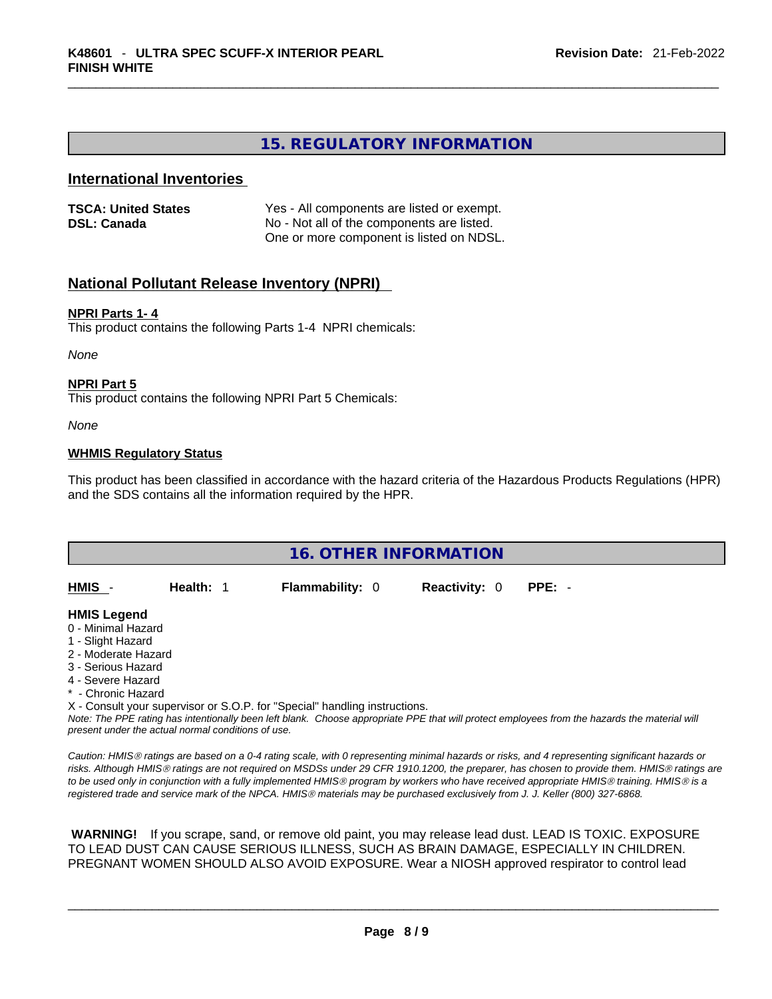#### **15. REGULATORY INFORMATION**

#### **International Inventories**

| <b>TSCA: United States</b> | Yes - All components are listed or exempt. |
|----------------------------|--------------------------------------------|
| <b>DSL: Canada</b>         | No - Not all of the components are listed. |
|                            | One or more component is listed on NDSL.   |

#### **National Pollutant Release Inventory (NPRI)**

#### **NPRI Parts 1- 4**

This product contains the following Parts 1-4 NPRI chemicals:

*None*

#### **NPRI Part 5**

This product contains the following NPRI Part 5 Chemicals:

*None*

#### **WHMIS Regulatory Status**

This product has been classified in accordance with the hazard criteria of the Hazardous Products Regulations (HPR) and the SDS contains all the information required by the HPR.

| <b>16. OTHER INFORMATION</b> |           |                                                                            |                      |                                                                                                                                               |  |
|------------------------------|-----------|----------------------------------------------------------------------------|----------------------|-----------------------------------------------------------------------------------------------------------------------------------------------|--|
|                              |           |                                                                            |                      |                                                                                                                                               |  |
| HMIS -                       | Health: 1 | <b>Flammability: 0</b>                                                     | <b>Reactivity: 0</b> | $PPE: -$                                                                                                                                      |  |
| <b>HMIS Legend</b>           |           |                                                                            |                      |                                                                                                                                               |  |
| 0 - Minimal Hazard           |           |                                                                            |                      |                                                                                                                                               |  |
| 1 - Slight Hazard            |           |                                                                            |                      |                                                                                                                                               |  |
| 2 - Moderate Hazard          |           |                                                                            |                      |                                                                                                                                               |  |
| 3 - Serious Hazard           |           |                                                                            |                      |                                                                                                                                               |  |
| 4 - Severe Hazard            |           |                                                                            |                      |                                                                                                                                               |  |
| * - Chronic Hazard           |           |                                                                            |                      |                                                                                                                                               |  |
|                              |           | X - Consult your supervisor or S.O.P. for "Special" handling instructions. |                      |                                                                                                                                               |  |
|                              |           |                                                                            |                      | Note: The PPE rating has intentionally been left blank. Choose appropriate PPE that will protect employees from the hazards the material will |  |

*present under the actual normal conditions of use.* 

*Caution: HMISÒ ratings are based on a 0-4 rating scale, with 0 representing minimal hazards or risks, and 4 representing significant hazards or risks. Although HMISÒ ratings are not required on MSDSs under 29 CFR 1910.1200, the preparer, has chosen to provide them. HMISÒ ratings are to be used only in conjunction with a fully implemented HMISÒ program by workers who have received appropriate HMISÒ training. HMISÒ is a registered trade and service mark of the NPCA. HMISÒ materials may be purchased exclusively from J. J. Keller (800) 327-6868.* 

 **WARNING!** If you scrape, sand, or remove old paint, you may release lead dust. LEAD IS TOXIC. EXPOSURE TO LEAD DUST CAN CAUSE SERIOUS ILLNESS, SUCH AS BRAIN DAMAGE, ESPECIALLY IN CHILDREN. PREGNANT WOMEN SHOULD ALSO AVOID EXPOSURE.Wear a NIOSH approved respirator to control lead

 $\_$  ,  $\_$  ,  $\_$  ,  $\_$  ,  $\_$  ,  $\_$  ,  $\_$  ,  $\_$  ,  $\_$  ,  $\_$  ,  $\_$  ,  $\_$  ,  $\_$  ,  $\_$  ,  $\_$  ,  $\_$  ,  $\_$  ,  $\_$  ,  $\_$  ,  $\_$  ,  $\_$  ,  $\_$  ,  $\_$  ,  $\_$  ,  $\_$  ,  $\_$  ,  $\_$  ,  $\_$  ,  $\_$  ,  $\_$  ,  $\_$  ,  $\_$  ,  $\_$  ,  $\_$  ,  $\_$  ,  $\_$  ,  $\_$  ,